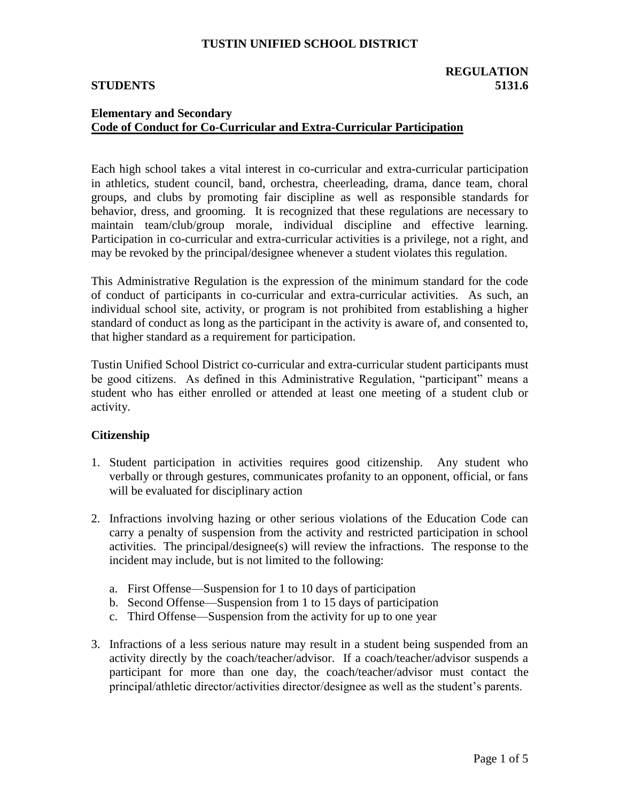## **REGULATION STUDENTS 5131.6**

# **Elementary and Secondary Code of Conduct for Co-Curricular and Extra-Curricular Participation**

Each high school takes a vital interest in co-curricular and extra-curricular participation in athletics, student council, band, orchestra, cheerleading, drama, dance team, choral groups, and clubs by promoting fair discipline as well as responsible standards for behavior, dress, and grooming. It is recognized that these regulations are necessary to maintain team/club/group morale, individual discipline and effective learning. Participation in co-curricular and extra-curricular activities is a privilege, not a right, and may be revoked by the principal/designee whenever a student violates this regulation.

This Administrative Regulation is the expression of the minimum standard for the code of conduct of participants in co-curricular and extra-curricular activities. As such, an individual school site, activity, or program is not prohibited from establishing a higher standard of conduct as long as the participant in the activity is aware of, and consented to, that higher standard as a requirement for participation.

Tustin Unified School District co-curricular and extra-curricular student participants must be good citizens. As defined in this Administrative Regulation, "participant" means a student who has either enrolled or attended at least one meeting of a student club or activity.

## **Citizenship**

- 1. Student participation in activities requires good citizenship. Any student who verbally or through gestures, communicates profanity to an opponent, official, or fans will be evaluated for disciplinary action
- 2. Infractions involving hazing or other serious violations of the Education Code can carry a penalty of suspension from the activity and restricted participation in school activities. The principal/designee(s) will review the infractions. The response to the incident may include, but is not limited to the following:
	- a. First Offense—Suspension for 1 to 10 days of participation
	- b. Second Offense—Suspension from 1 to 15 days of participation
	- c. Third Offense—Suspension from the activity for up to one year
- 3. Infractions of a less serious nature may result in a student being suspended from an activity directly by the coach/teacher/advisor. If a coach/teacher/advisor suspends a participant for more than one day, the coach/teacher/advisor must contact the principal/athletic director/activities director/designee as well as the student's parents.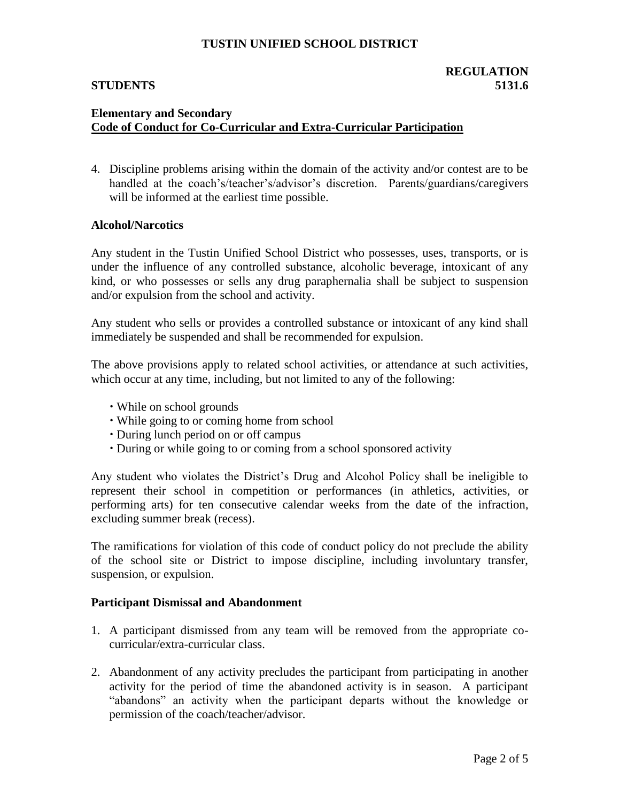## **REGULATION STUDENTS 5131.6**

# **Elementary and Secondary Code of Conduct for Co-Curricular and Extra-Curricular Participation**

4. Discipline problems arising within the domain of the activity and/or contest are to be handled at the coach's/teacher's/advisor's discretion. Parents/guardians/caregivers will be informed at the earliest time possible.

### **Alcohol/Narcotics**

Any student in the Tustin Unified School District who possesses, uses, transports, or is under the influence of any controlled substance, alcoholic beverage, intoxicant of any kind, or who possesses or sells any drug paraphernalia shall be subject to suspension and/or expulsion from the school and activity.

Any student who sells or provides a controlled substance or intoxicant of any kind shall immediately be suspended and shall be recommended for expulsion.

The above provisions apply to related school activities, or attendance at such activities, which occur at any time, including, but not limited to any of the following:

- While on school grounds
- While going to or coming home from school
- During lunch period on or off campus
- During or while going to or coming from a school sponsored activity

Any student who violates the District's Drug and Alcohol Policy shall be ineligible to represent their school in competition or performances (in athletics, activities, or performing arts) for ten consecutive calendar weeks from the date of the infraction, excluding summer break (recess).

The ramifications for violation of this code of conduct policy do not preclude the ability of the school site or District to impose discipline, including involuntary transfer, suspension, or expulsion.

### **Participant Dismissal and Abandonment**

- 1. A participant dismissed from any team will be removed from the appropriate cocurricular/extra-curricular class.
- 2. Abandonment of any activity precludes the participant from participating in another activity for the period of time the abandoned activity is in season. A participant "abandons" an activity when the participant departs without the knowledge or permission of the coach/teacher/advisor.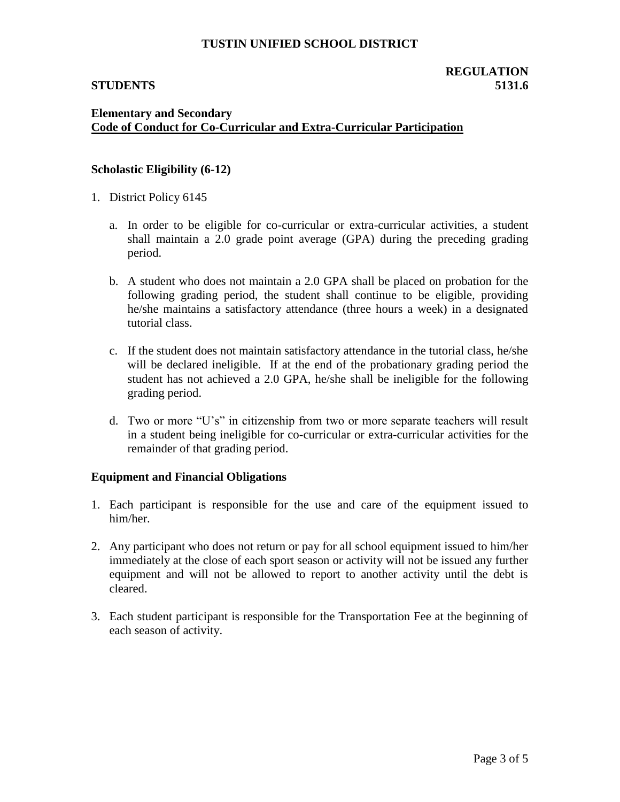# **Elementary and Secondary Code of Conduct for Co-Curricular and Extra-Curricular Participation**

### **Scholastic Eligibility (6-12)**

- 1. District Policy 6145
	- a. In order to be eligible for co-curricular or extra-curricular activities, a student shall maintain a 2.0 grade point average (GPA) during the preceding grading period.
	- b. A student who does not maintain a 2.0 GPA shall be placed on probation for the following grading period, the student shall continue to be eligible, providing he/she maintains a satisfactory attendance (three hours a week) in a designated tutorial class.
	- c. If the student does not maintain satisfactory attendance in the tutorial class, he/she will be declared ineligible. If at the end of the probationary grading period the student has not achieved a 2.0 GPA, he/she shall be ineligible for the following grading period.
	- d. Two or more "U's" in citizenship from two or more separate teachers will result in a student being ineligible for co-curricular or extra-curricular activities for the remainder of that grading period.

### **Equipment and Financial Obligations**

- 1. Each participant is responsible for the use and care of the equipment issued to him/her.
- 2. Any participant who does not return or pay for all school equipment issued to him/her immediately at the close of each sport season or activity will not be issued any further equipment and will not be allowed to report to another activity until the debt is cleared.
- 3. Each student participant is responsible for the Transportation Fee at the beginning of each season of activity.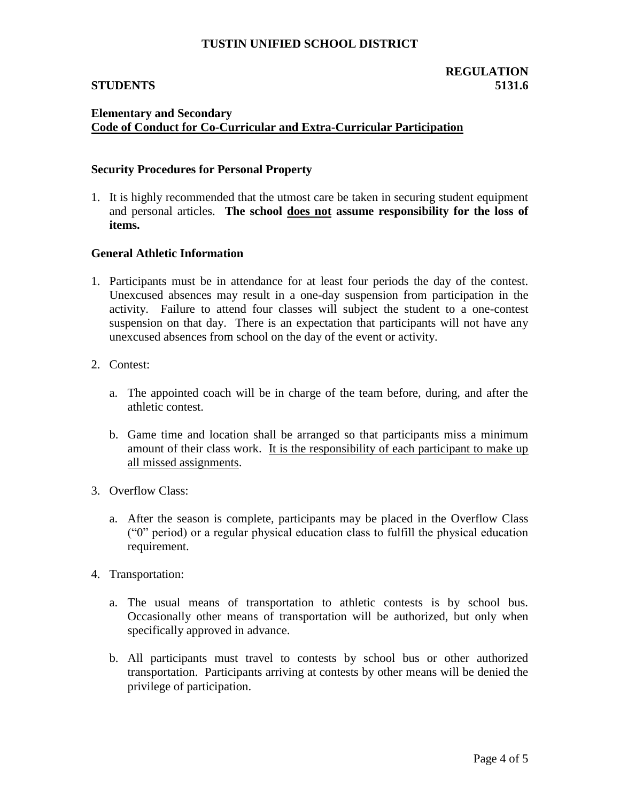## **Elementary and Secondary Code of Conduct for Co-Curricular and Extra-Curricular Participation**

#### **Security Procedures for Personal Property**

1. It is highly recommended that the utmost care be taken in securing student equipment and personal articles. **The school does not assume responsibility for the loss of items.**

### **General Athletic Information**

- 1. Participants must be in attendance for at least four periods the day of the contest. Unexcused absences may result in a one-day suspension from participation in the activity. Failure to attend four classes will subject the student to a one-contest suspension on that day. There is an expectation that participants will not have any unexcused absences from school on the day of the event or activity.
- 2. Contest:
	- a. The appointed coach will be in charge of the team before, during, and after the athletic contest.
	- b. Game time and location shall be arranged so that participants miss a minimum amount of their class work. It is the responsibility of each participant to make up all missed assignments.
- 3. Overflow Class:
	- a. After the season is complete, participants may be placed in the Overflow Class ("0" period) or a regular physical education class to fulfill the physical education requirement.
- 4. Transportation:
	- a. The usual means of transportation to athletic contests is by school bus. Occasionally other means of transportation will be authorized, but only when specifically approved in advance.
	- b. All participants must travel to contests by school bus or other authorized transportation. Participants arriving at contests by other means will be denied the privilege of participation.